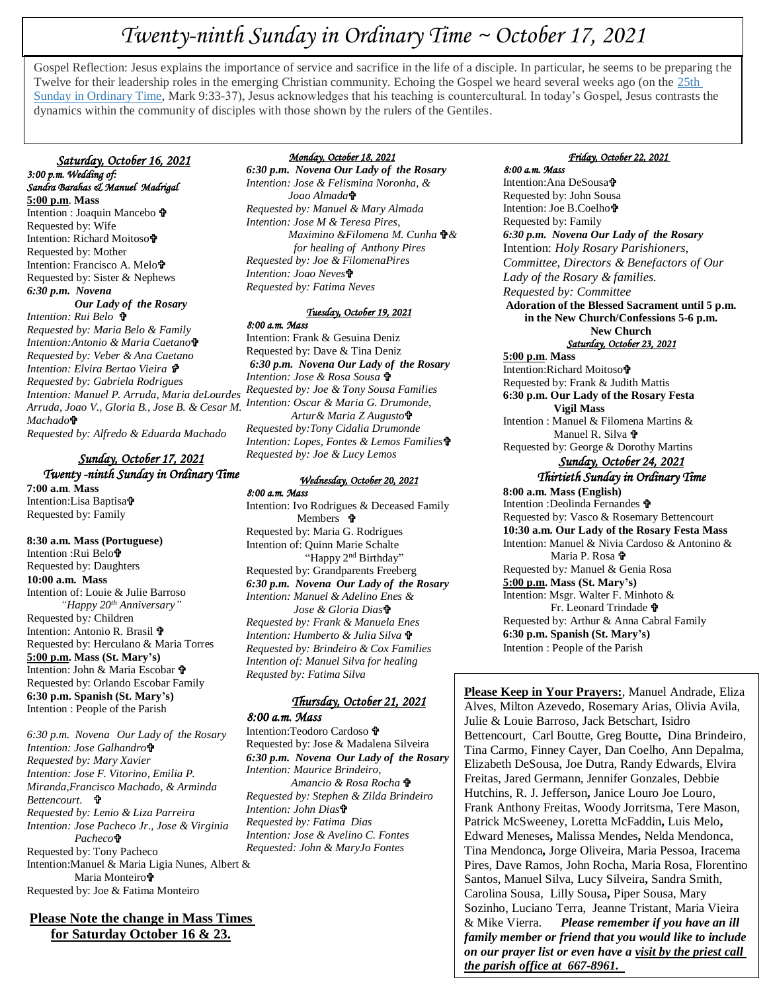# *Twenty-ninth Sunday in Ordinary Time ~ October 17, 2021*

Gospel Reflection: Jesus explains the importance of service and sacrifice in the life of a disciple. In particular, he seems to be preparing the Twelve for their leadership roles in the emerging Christian community. Echoing the Gospel we heard several weeks ago (on the [25th](https://www.loyolapress.com/catholic-resources/liturgical-year/sunday-connection/25th-sunday-in-ordinary-time-b-sunday-connection)  [Sunday in Ordinary Time,](https://www.loyolapress.com/catholic-resources/liturgical-year/sunday-connection/25th-sunday-in-ordinary-time-b-sunday-connection) Mark 9:33-37), Jesus acknowledges that his teaching is countercultural. In today's Gospel, Jesus contrasts the dynamics within the community of disciples with those shown by the rulers of the Gentiles.

 *Saturday, October 16, 2021 3:00 p.m. Wedding of: Sandra Barahas & Manuel Madrigal*  **5:00 p.m**. **Mass** Intention : Joaquin Mancebo Requested by: Wife Intention: Richard Moitoso Requested by: Mother Intention: Francisco A. Melo Requested by: Sister & Nephews *6:30 p.m. Novena Our Lady of the Rosary Intention: Rui Belo Requested by: Maria Belo & Family Intention:Antonio & Maria Caetano Requested by: Veber & Ana Caetano Intention: Elvira Bertao Vieira Requested by: Gabriela Rodrigues Intention: Manuel P. Arruda, Maria deLourdes Arruda, Joao V., Gloria B., Jose B. & Cesar M. Intention: Oscar & Maria G. Drumonde, Machado Requested by: Alfredo & Eduarda Machado*

#### *Sunday, October 17, 2021 Twenty -ninth Sunday in Ordinary Time*  **7:00 a.m**. **Mass** Intention:Lisa Baptisa Requested by: Family

**8:30 a.m. Mass (Portuguese)** Intention :Rui Belo Requested by: Daughters **10:00 a.m. Mass** Intention of: Louie & Julie Barroso  *"Happy 20th Anniversary"* Requested by*:* Children Intention: Antonio R. Brasil  $\mathbf{\hat{P}}$ Requested by: Herculano & Maria Torres **5:00 p.m. Mass (St. Mary's)** Intention: John & Maria Escobar Requested by: Orlando Escobar Family **6:30 p.m. Spanish (St. Mary's)** Intention : People of the Parish

*6:30 p.m. Novena Our Lady of the Rosary Intention: Jose Galhandro Requested by: Mary Xavier Intention: Jose F. Vitorino, Emilia P. Miranda,Francisco Machado, & Arminda Bettencourt. Requested by: Lenio & Liza Parreira Intention: Jose Pacheco Jr., Jose & Virginia Pacheco* Requested by: Tony Pacheco Intention:Manuel & Maria Ligia Nunes, Albert & Maria Monteiro<sup>t</sup> Requested by: Joe & Fatima Monteiro

**Please Note the change in Mass Times for Saturday October 16 & 23.**

#### *Monday, October 18, 2021*

*6:30 p.m. Novena Our Lady of the Rosary Intention: Jose & Felismina Noronha, & Joao Almada Requested by: Manuel & Mary Almada Intention: Jose M & Teresa Pires, Maximino &Filomena M. Cunha & for healing of Anthony Pires Requested by: Joe & FilomenaPires Intention: Joao Neves Requested by: Fatima Neves*

#### *Tuesday, October 19, 2021*

*8:00 a.m. Mass* 

Intention: Frank & Gesuina Deniz Requested by: Dave & Tina Deniz *6:30 p.m. Novena Our Lady of the Rosary Intention: Jose & Rosa Sousa Requested by: Joe & Tony Sousa Families Artur& Maria Z Augusto Requested by:Tony Cidalia Drumonde Intention: Lopes, Fontes & Lemos Families Requested by: Joe & Lucy Lemos*

## *Wednesday, October 20, 2021*

*8:00 a.m. Mass*  Intention: Ivo Rodrigues & Deceased Family Members **?** Requested by: Maria G. Rodrigues Intention of: Quinn Marie Schalte "Happy 2<sup>nd</sup> Birthday" Requested by: Grandparents Freeberg *6:30 p.m. Novena Our Lady of the Rosary Intention: Manuel & Adelino Enes & Jose & Gloria Dias Requested by: Frank & Manuela Enes Intention: Humberto & Julia Silva Requested by: Brindeiro & Cox Families Intention of: Manuel Silva for healing Requsted by: Fatima Silva*

# *Thursday, October 21, 2021*

*8:00 a.m. Mass*  Intention:Teodoro Cardoso Requested by: Jose & Madalena Silveira *6:30 p.m. Novena Our Lady of the Rosary Intention: Maurice Brindeiro, Amancio & Rosa Rocha Requested by: Stephen & Zilda Brindeiro Intention: John Dias Requested by: Fatima Dias Intention: Jose & Avelino C. Fontes Requested: John & MaryJo Fontes* 

#### *Friday, October 22, 2021*

*8:00 a.m. Mass*  Intention:Ana DeSousa Requested by: John Sousa Intention: Joe B.Coelho Requested by: Family *6:30 p.m. Novena Our Lady of the Rosary* Intention: *Holy Rosary Parishioners, Committee, Directors & Benefactors of Our Lady of the Rosary & families. Requested by: Committee* **Adoration of the Blessed Sacrament until 5 p.m. in the New Church/Confessions 5-6 p.m. New Church** *Saturday, October 23, 2021*  **5:00 p.m**. **Mass** Intention:Richard Moitoso Requested by: Frank & Judith Mattis **6:30 p.m. Our Lady of the Rosary Festa Vigil Mass** Intention : Manuel & Filomena Martins & Manuel R. Silva + Requested by: George & Dorothy Martins *Sunday, October 24, 2021 Thirtieth Sunday in Ordinary Time*  **8:00 a.m. Mass (English)** Intention :Deolinda Fernandes Requested by: Vasco & Rosemary Bettencourt **10:30 a.m. Our Lady of the Rosary Festa Mass** Intention: Manuel & Nivia Cardoso & Antonino & Maria P. Rosa **P** Requested by*:* Manuel & Genia Rosa **5:00 p.m. Mass (St. Mary's)** Intention: Msgr. Walter F. Minhoto & Fr. Leonard Trindade Requested by: Arthur & Anna Cabral Family **6:30 p.m. Spanish (St. Mary's)** Intention : People of the Parish

**Please Keep in Your Prayers:**, Manuel Andrade, Eliza Alves, Milton Azevedo, Rosemary Arias, Olivia Avila, Julie & Louie Barroso, Jack Betschart, Isidro Bettencourt, Carl Boutte, Greg Boutte**,** Dina Brindeiro, Tina Carmo, Finney Cayer, Dan Coelho, Ann Depalma, Elizabeth DeSousa, Joe Dutra, Randy Edwards, Elvira Freitas, Jared Germann, Jennifer Gonzales, Debbie Hutchins, R. J. Jefferson**,** Janice Louro Joe Louro, Frank Anthony Freitas, Woody Jorritsma, Tere Mason, Patrick McSweeney, Loretta McFaddin**,** Luis Melo**,**  Edward Meneses**,** Malissa Mendes**,** Nelda Mendonca, Tina Mendonca*,* Jorge Oliveira, Maria Pessoa, Iracema Pires, Dave Ramos, John Rocha, Maria Rosa, Florentino Santos, Manuel Silva, Lucy Silveira**,** Sandra Smith, Carolina Sousa, Lilly Sousa**,** Piper Sousa, Mary Sozinho, Luciano Terra, Jeanne Tristant, Maria Vieira & Mike Vierra. *Please remember if you have an ill family member or friend that you would like to include on our prayer list or even have a visit by the priest call the parish office at 667-8961.*